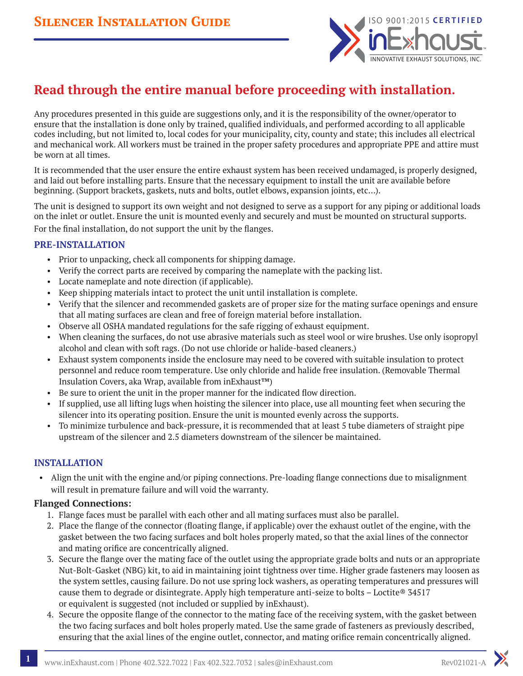

# **Read through the entire manual before proceeding with installation.**

Any procedures presented in this guide are suggestions only, and it is the responsibility of the owner/operator to ensure that the installation is done only by trained, qualified individuals, and performed according to all applicable codes including, but not limited to, local codes for your municipality, city, county and state; this includes all electrical and mechanical work. All workers must be trained in the proper safety procedures and appropriate PPE and attire must be worn at all times.

It is recommended that the user ensure the entire exhaust system has been received undamaged, is properly designed, and laid out before installing parts. Ensure that the necessary equipment to install the unit are available before beginning. (Support brackets, gaskets, nuts and bolts, outlet elbows, expansion joints, etc…).

The unit is designed to support its own weight and not designed to serve as a support for any piping or additional loads on the inlet or outlet. Ensure the unit is mounted evenly and securely and must be mounted on structural supports. For the final installation, do not support the unit by the flanges.

#### **PRE-INSTALLATION**

- Prior to unpacking, check all components for shipping damage.
- Verify the correct parts are received by comparing the nameplate with the packing list.
- Locate nameplate and note direction (if applicable).
- Keep shipping materials intact to protect the unit until installation is complete.
- Verify that the silencer and recommended gaskets are of proper size for the mating surface openings and ensure that all mating surfaces are clean and free of foreign material before installation.
- Observe all OSHA mandated regulations for the safe rigging of exhaust equipment.
- When cleaning the surfaces, do not use abrasive materials such as steel wool or wire brushes. Use only isopropyl alcohol and clean with soft rags. (Do not use chloride or halide-based cleaners.)
- Exhaust system components inside the enclosure may need to be covered with suitable insulation to protect personnel and reduce room temperature. Use only chloride and halide free insulation. (Removable Thermal Insulation Covers, aka Wrap, available from inExhaust™)
- Be sure to orient the unit in the proper manner for the indicated flow direction.
- If supplied, use all lifting lugs when hoisting the silencer into place, use all mounting feet when securing the silencer into its operating position. Ensure the unit is mounted evenly across the supports.
- To minimize turbulence and back-pressure, it is recommended that at least 5 tube diameters of straight pipe upstream of the silencer and 2.5 diameters downstream of the silencer be maintained.

#### **INSTALLATION**

• Align the unit with the engine and/or piping connections. Pre-loading flange connections due to misalignment will result in premature failure and will void the warranty.

#### **Flanged Connections:**

- 1. Flange faces must be parallel with each other and all mating surfaces must also be parallel.
- 2. Place the flange of the connector (floating flange, if applicable) over the exhaust outlet of the engine, with the gasket between the two facing surfaces and bolt holes properly mated, so that the axial lines of the connector and mating orifice are concentrically aligned.
- 3. Secure the flange over the mating face of the outlet using the appropriate grade bolts and nuts or an appropriate Nut-Bolt-Gasket (NBG) kit, to aid in maintaining joint tightness over time. Higher grade fasteners may loosen as the system settles, causing failure. Do not use spring lock washers, as operating temperatures and pressures will cause them to degrade or disintegrate. Apply high temperature anti-seize to bolts – Loctite  $\degree$  34517 or equivalent is suggested (not included or supplied by inExhaust).
- 4. Secure the opposite flange of the connector to the mating face of the receiving system, with the gasket between the two facing surfaces and bolt holes properly mated. Use the same grade of fasteners as previously described, ensuring that the axial lines of the engine outlet, connector, and mating orifice remain concentrically aligned.